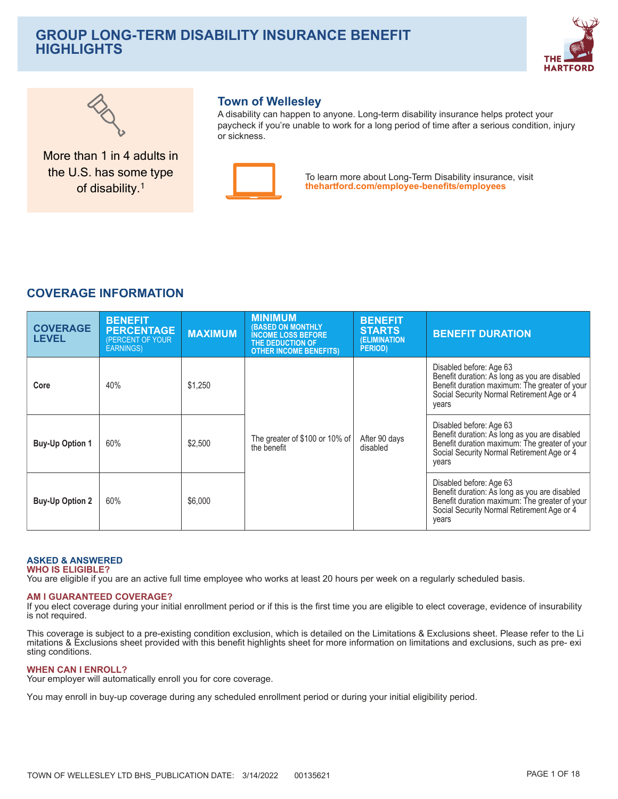# **GROUP LONG-TERM DISABILITY INSURANCE BENEFIT HIGHLIGHTS**





More than 1 in 4 adults in the U.S. has some type of disability.<sup>1</sup>

## **Town of Wellesley**

A disability can happen to anyone. Long-term disability insurance helps protect your paycheck if you're unable to work for a long period of time after a serious condition, injury or sickness



To learn more about Long-Term Disability insurance, visit thehartford.com/employee-benefits/employees

## **COVERAGE INFORMATION**

| <b>COVERAGE</b><br><b>LEVEL</b> | <b>BENEFIT</b><br><b>PERCENTAGE</b><br>(PERCENT OF YOUR<br><b>EARNINGS</b> ) | <b>MAXIMUM</b> | <b>MINIMUM</b><br><b>(BASED ON MONTHLY)</b><br><b>INCOME LOSS BEFORE</b><br>THE DEDUCTION OF<br><b>OTHER INCOME BENEFITS)</b> | <b>BENEFIT</b><br><b>STARTS</b><br><b>(ELIMINATION)</b><br>PERIOD) | <b>BENEFIT DURATION</b>                                                                                                                                                          |
|---------------------------------|------------------------------------------------------------------------------|----------------|-------------------------------------------------------------------------------------------------------------------------------|--------------------------------------------------------------------|----------------------------------------------------------------------------------------------------------------------------------------------------------------------------------|
| Core                            | 40%                                                                          | \$1,250        | The greater of \$100 or 10% of<br>the benefit                                                                                 | After 90 days<br>disabled                                          | Disabled before: Age 63<br>Benefit duration: As long as you are disabled<br>Benefit duration maximum: The greater of your<br>Social Security Normal Retirement Age or 4<br>years |
| <b>Buy-Up Option 1</b>          | 60%                                                                          | \$2,500        |                                                                                                                               |                                                                    | Disabled before: Age 63<br>Benefit duration: As long as you are disabled<br>Benefit duration maximum: The greater of your<br>Social Security Normal Retirement Age or 4<br>years |
| <b>Buy-Up Option 2</b>          | 60%                                                                          | \$6,000        |                                                                                                                               |                                                                    | Disabled before: Age 63<br>Benefit duration: As long as you are disabled<br>Benefit duration maximum: The greater of your<br>Social Security Normal Retirement Age or 4<br>years |

### **ASKED & ANSWERED WHO IS ELIGIBLE?**

You are eligible if you are an active full time employee who works at least 20 hours per week on a regularly scheduled basis.

## **AM I GUARANTEED COVERAGE?**

If you elect coverage during your initial enrollment period or if this is the first time you are eligible to elect coverage, evidence of insurability is not required.

This coverage is subject to a pre-existing condition exclusion, which is detailed on the Limitations & Exclusions sheet. Please refer to the Li mitations & Exclusions sheet provided with this benefit highlights sheet for more information on limitations and exclusions, such as pre- exi sting conditions.

## **WHEN CAN I ENROLL?**

Your employer will automatically enroll you for core coverage.

You may enroll in buy-up coverage during any scheduled enrollment period or during your initial eligibility period.